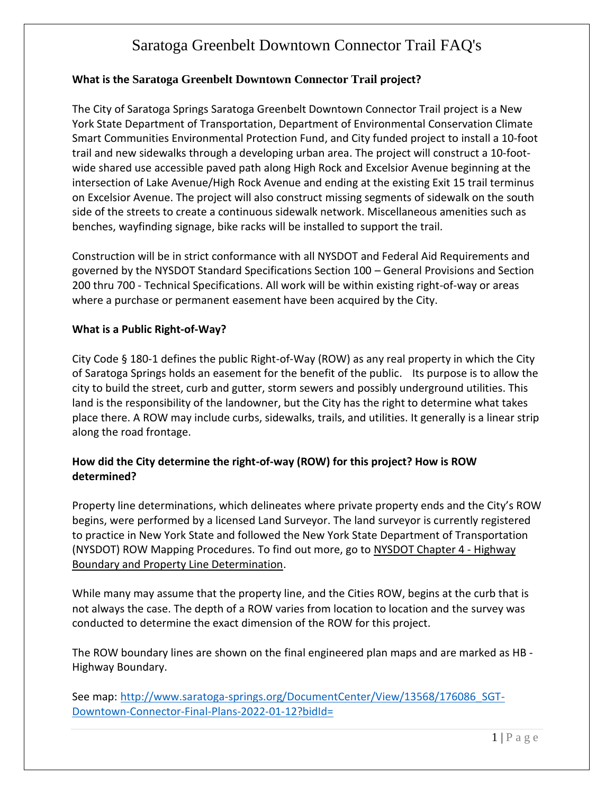### **What is the Saratoga Greenbelt Downtown Connector Trail project?**

The City of Saratoga Springs Saratoga Greenbelt Downtown Connector Trail project is a New York State Department of Transportation, Department of Environmental Conservation Climate Smart Communities Environmental Protection Fund, and City funded project to install a 10-foot trail and new sidewalks through a developing urban area. The project will construct a 10-footwide shared use accessible paved path along High Rock and Excelsior Avenue beginning at the intersection of Lake Avenue/High Rock Avenue and ending at the existing Exit 15 trail terminus on Excelsior Avenue. The project will also construct missing segments of sidewalk on the south side of the streets to create a continuous sidewalk network. Miscellaneous amenities such as benches, wayfinding signage, bike racks will be installed to support the trail.

Construction will be in strict conformance with all NYSDOT and Federal Aid Requirements and governed by the NYSDOT Standard Specifications Section 100 – General Provisions and Section 200 thru 700 - Technical Specifications. All work will be within existing right-of-way or areas where a purchase or permanent easement have been acquired by the City.

#### **What is a Public Right-of-Way?**

City Code § 180-1 defines the public Right-of-Way (ROW) as any real property in which the City of Saratoga Springs holds an easement for the benefit of the public. Its purpose is to allow the city to build the street, curb and gutter, storm sewers and possibly underground utilities. This land is the responsibility of the landowner, but the City has the right to determine what takes place there. A ROW may include curbs, sidewalks, trails, and utilities. It generally is a linear strip along the road frontage.

## **How did the City determine the right-of-way (ROW) for this project? How is ROW determined?**

Property line determinations, which delineates where private property ends and the City's ROW begins, were performed by a licensed Land Surveyor. The land surveyor is currently registered to practice in New York State and followed the New York State Department of Transportation (NYSDOT) ROW Mapping Procedures. To find out more, go to [NYSDOT Chapter 4 -](https://www.dot.ny.gov/divisions/engineering/design/design-services/land-survey/repository/Chapter%204%20-%20Highway%20Boundary%20and%20Property%20Line%20Determination%20(revised%202019).pdf) Highway [Boundary and Property Line Determination.](https://www.dot.ny.gov/divisions/engineering/design/design-services/land-survey/repository/Chapter%204%20-%20Highway%20Boundary%20and%20Property%20Line%20Determination%20(revised%202019).pdf)

While many may assume that the property line, and the Cities ROW, begins at the curb that is not always the case. The depth of a ROW varies from location to location and the survey was conducted to determine the exact dimension of the ROW for this project.

The ROW boundary lines are shown on the final engineered plan maps and are marked as HB - Highway Boundary.

See map: [http://www.saratoga-springs.org/DocumentCenter/View/13568/176086\\_SGT-](http://www.saratoga-springs.org/DocumentCenter/View/13568/176086_SGT-Downtown-Connector-Final-Plans-2022-01-12?bidId=)[Downtown-Connector-Final-Plans-2022-01-12?bidId=](http://www.saratoga-springs.org/DocumentCenter/View/13568/176086_SGT-Downtown-Connector-Final-Plans-2022-01-12?bidId=)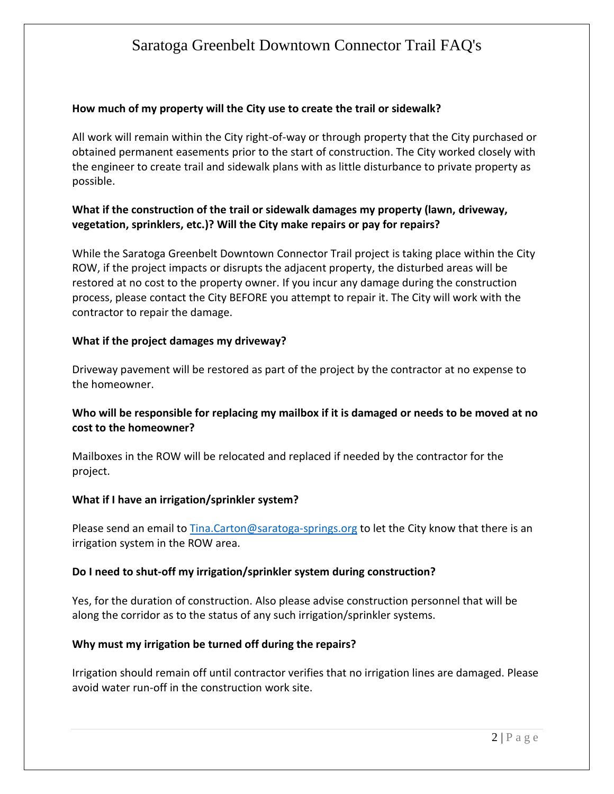### **How much of my property will the City use to create the trail or sidewalk?**

All work will remain within the City right-of-way or through property that the City purchased or obtained permanent easements prior to the start of construction. The City worked closely with the engineer to create trail and sidewalk plans with as little disturbance to private property as possible.

## **What if the construction of the trail or sidewalk damages my property (lawn, driveway, vegetation, sprinklers, etc.)? Will the City make repairs or pay for repairs?**

While the Saratoga Greenbelt Downtown Connector Trail project is taking place within the City ROW, if the project impacts or disrupts the adjacent property, the disturbed areas will be restored at no cost to the property owner. If you incur any damage during the construction process, please contact the City BEFORE you attempt to repair it. The City will work with the contractor to repair the damage.

### **What if the project damages my driveway?**

Driveway pavement will be restored as part of the project by the contractor at no expense to the homeowner.

## **Who will be responsible for replacing my mailbox if it is damaged or needs to be moved at no cost to the homeowner?**

Mailboxes in the ROW will be relocated and replaced if needed by the contractor for the project.

## **What if I have an irrigation/sprinkler system?**

Please send an email to [Tina.Carton@saratoga-springs.org](mailto:Tina.Carton@saratoga-springs.org) to let the City know that there is an irrigation system in the ROW area.

#### **Do I need to shut-off my irrigation/sprinkler system during construction?**

Yes, for the duration of construction. Also please advise construction personnel that will be along the corridor as to the status of any such irrigation/sprinkler systems.

## **Why must my irrigation be turned off during the repairs?**

Irrigation should remain off until contractor verifies that no irrigation lines are damaged. Please avoid water run-off in the construction work site.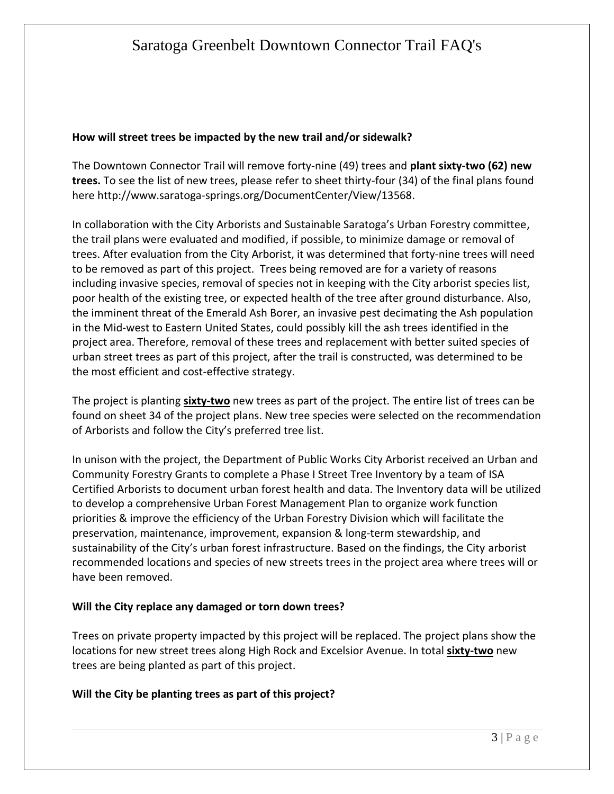#### **How will street trees be impacted by the new trail and/or sidewalk?**

The Downtown Connector Trail will remove forty-nine (49) trees and **plant sixty-two (62) new trees.** To see the list of new trees, please refer to sheet thirty-four (34) of the final plans found here http://www.saratoga-springs.org/DocumentCenter/View/13568.

In collaboration with the City Arborists and Sustainable Saratoga's Urban Forestry committee, the trail plans were evaluated and modified, if possible, to minimize damage or removal of trees. After evaluation from the City Arborist, it was determined that forty-nine trees will need to be removed as part of this project. Trees being removed are for a variety of reasons including invasive species, removal of species not in keeping with the City arborist species list, poor health of the existing tree, or expected health of the tree after ground disturbance. Also, the imminent threat of the Emerald Ash Borer, an invasive pest decimating the Ash population in the Mid-west to Eastern United States, could possibly kill the ash trees identified in the project area. Therefore, removal of these trees and replacement with better suited species of urban street trees as part of this project, after the trail is constructed, was determined to be the most efficient and cost-effective strategy.

The project is planting **sixty-two** new trees as part of the project. The entire list of trees can be found on sheet 34 of the project plans. New tree species were selected on the recommendation of Arborists and follow the City's preferred tree list.

In unison with the project, the Department of Public Works City Arborist received an Urban and Community Forestry Grants to complete a Phase I Street Tree Inventory by a team of ISA Certified Arborists to document urban forest health and data. The Inventory data will be utilized to develop a comprehensive Urban Forest Management Plan to organize work function priorities & improve the efficiency of the Urban Forestry Division which will facilitate the preservation, maintenance, improvement, expansion & long-term stewardship, and sustainability of the City's urban forest infrastructure. Based on the findings, the City arborist recommended locations and species of new streets trees in the project area where trees will or have been removed.

#### **Will the City replace any damaged or torn down trees?**

Trees on private property impacted by this project will be replaced. The project plans show the locations for new street trees along High Rock and Excelsior Avenue. In total **sixty-two** new trees are being planted as part of this project.

#### **Will the City be planting trees as part of this project?**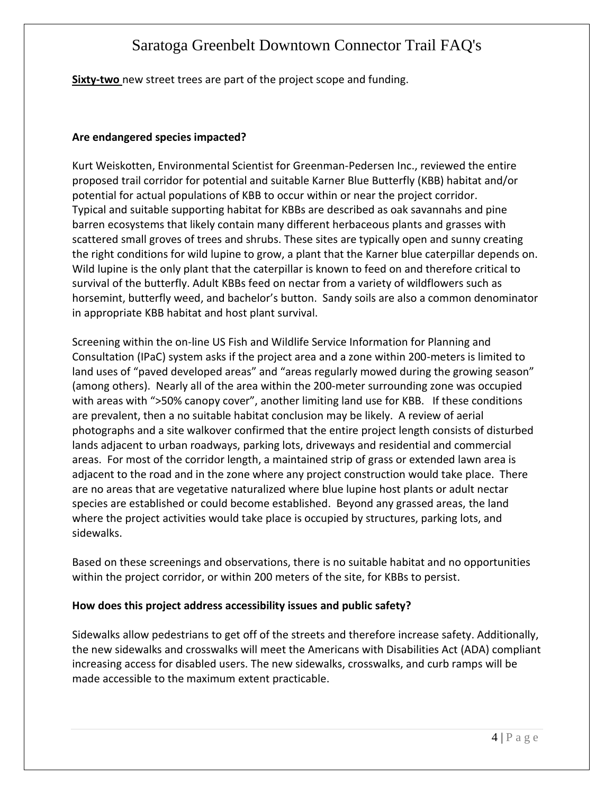**Sixty-two** new street trees are part of the project scope and funding.

### **Are endangered species impacted?**

Kurt Weiskotten, Environmental Scientist for Greenman-Pedersen Inc., reviewed the entire proposed trail corridor for potential and suitable Karner Blue Butterfly (KBB) habitat and/or potential for actual populations of KBB to occur within or near the project corridor. Typical and suitable supporting habitat for KBBs are described as oak savannahs and pine barren ecosystems that likely contain many different herbaceous plants and grasses with scattered small groves of trees and shrubs. These sites are typically open and sunny creating the right conditions for wild lupine to grow, a plant that the Karner blue caterpillar depends on. Wild lupine is the only plant that the caterpillar is known to feed on and therefore critical to survival of the butterfly. Adult KBBs feed on nectar from a variety of wildflowers such as horsemint, butterfly weed, and bachelor's button. Sandy soils are also a common denominator in appropriate KBB habitat and host plant survival.

Screening within the on-line US Fish and Wildlife Service Information for Planning and Consultation (IPaC) system asks if the project area and a zone within 200-meters is limited to land uses of "paved developed areas" and "areas regularly mowed during the growing season" (among others). Nearly all of the area within the 200-meter surrounding zone was occupied with areas with ">50% canopy cover", another limiting land use for KBB. If these conditions are prevalent, then a no suitable habitat conclusion may be likely. A review of aerial photographs and a site walkover confirmed that the entire project length consists of disturbed lands adjacent to urban roadways, parking lots, driveways and residential and commercial areas. For most of the corridor length, a maintained strip of grass or extended lawn area is adjacent to the road and in the zone where any project construction would take place. There are no areas that are vegetative naturalized where blue lupine host plants or adult nectar species are established or could become established. Beyond any grassed areas, the land where the project activities would take place is occupied by structures, parking lots, and sidewalks.

Based on these screenings and observations, there is no suitable habitat and no opportunities within the project corridor, or within 200 meters of the site, for KBBs to persist.

#### **How does this project address accessibility issues and public safety?**

Sidewalks allow pedestrians to get off of the streets and therefore increase safety. Additionally, the new sidewalks and crosswalks will meet the Americans with Disabilities Act (ADA) compliant increasing access for disabled users. The new sidewalks, crosswalks, and curb ramps will be made accessible to the maximum extent practicable.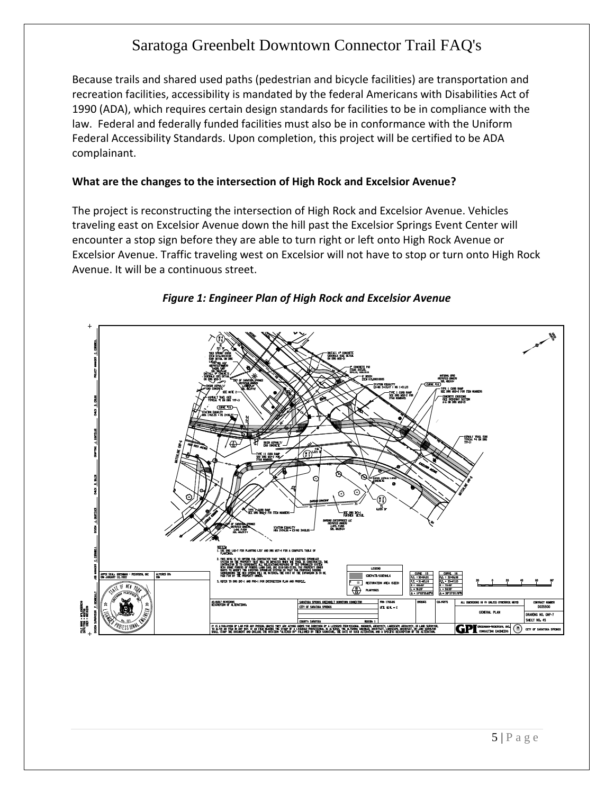Because trails and shared used paths (pedestrian and bicycle facilities) are transportation and recreation facilities, accessibility is mandated by the federal Americans with Disabilities Act of 1990 (ADA), which requires certain design standards for facilities to be in compliance with the law. Federal and federally funded facilities must also be in conformance with the Uniform Federal Accessibility Standards. Upon completion, this project will be certified to be ADA complainant.

#### **What are the changes to the intersection of High Rock and Excelsior Avenue?**

The project is reconstructing the intersection of High Rock and Excelsior Avenue. Vehicles traveling east on Excelsior Avenue down the hill past the Excelsior Springs Event Center will encounter a stop sign before they are able to turn right or left onto High Rock Avenue or Excelsior Avenue. Traffic traveling west on Excelsior will not have to stop or turn onto High Rock Avenue. It will be a continuous street.



#### *Figure 1: Engineer Plan of High Rock and Excelsior Avenue*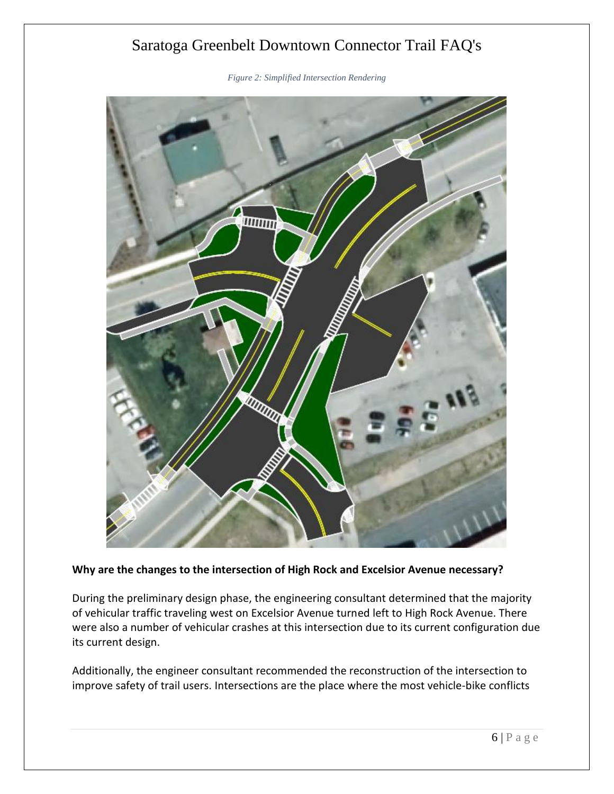*Figure 2: Simplified Intersection Rendering*



**Why are the changes to the intersection of High Rock and Excelsior Avenue necessary?**

During the preliminary design phase, the engineering consultant determined that the majority of vehicular traffic traveling west on Excelsior Avenue turned left to High Rock Avenue. There were also a number of vehicular crashes at this intersection due to its current configuration due its current design.

Additionally, the engineer consultant recommended the reconstruction of the intersection to improve safety of trail users. Intersections are the place where the most vehicle-bike conflicts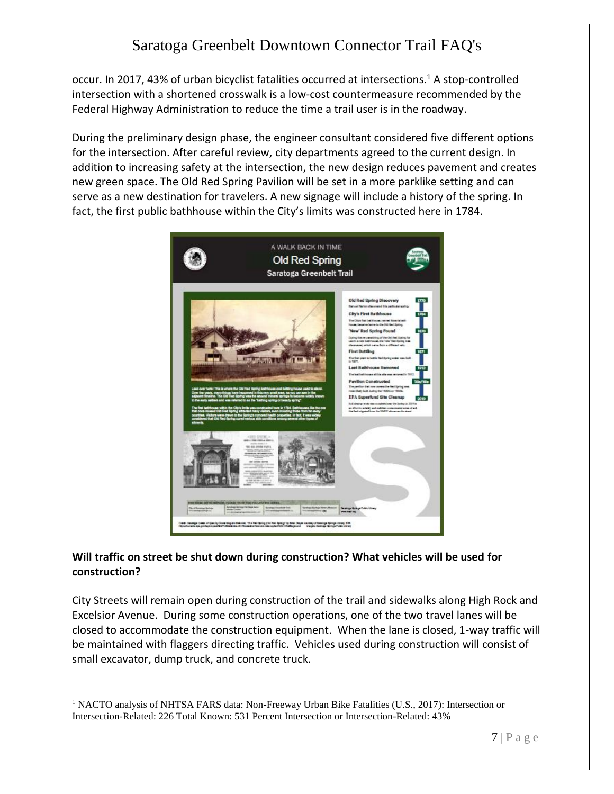occur. In 2017, 43% of urban bicyclist fatalities occurred at intersections.<sup>1</sup> A stop-controlled intersection with a shortened crosswalk is a low-cost countermeasure recommended by the Federal Highway Administration to reduce the time a trail user is in the roadway.

During the preliminary design phase, the engineer consultant considered five different options for the intersection. After careful review, city departments agreed to the current design. In addition to increasing safety at the intersection, the new design reduces pavement and creates new green space. The Old Red Spring Pavilion will be set in a more parklike setting and can serve as a new destination for travelers. A new signage will include a history of the spring. In fact, the first public bathhouse within the City's limits was constructed here in 1784.



## **Will traffic on street be shut down during construction? What vehicles will be used for construction?**

City Streets will remain open during construction of the trail and sidewalks along High Rock and Excelsior Avenue. During some construction operations, one of the two travel lanes will be closed to accommodate the construction equipment. When the lane is closed, 1-way traffic will be maintained with flaggers directing traffic. Vehicles used during construction will consist of small excavator, dump truck, and concrete truck.

 $\overline{a}$ 

<sup>&</sup>lt;sup>1</sup> NACTO analysis of NHTSA FARS data: Non-Freeway Urban Bike Fatalities (U.S., 2017): Intersection or Intersection-Related: 226 Total Known: 531 Percent Intersection or Intersection-Related: 43%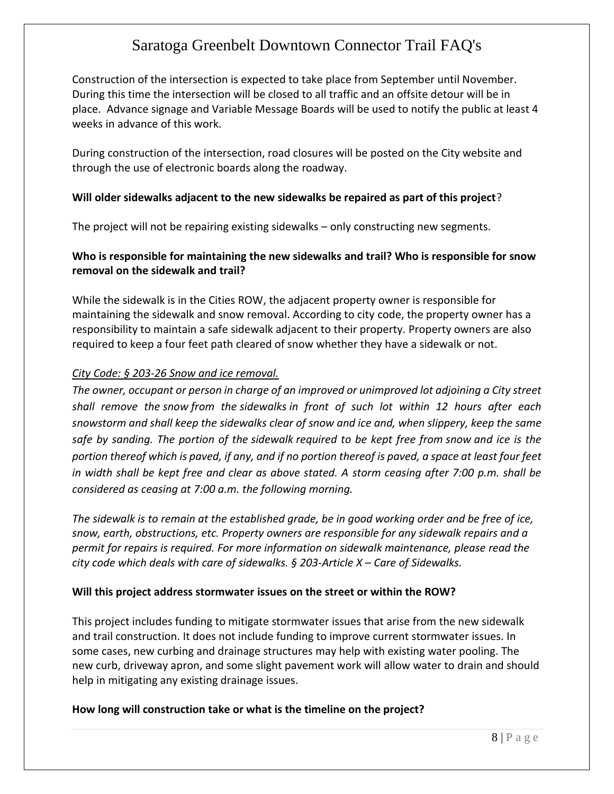Construction of the intersection is expected to take place from September until November. During this time the intersection will be closed to all traffic and an offsite detour will be in place. Advance signage and Variable Message Boards will be used to notify the public at least 4 weeks in advance of this work.

During construction of the intersection, road closures will be posted on the City website and through the use of electronic boards along the roadway.

#### **Will older sidewalks adjacent to the new sidewalks be repaired as part of this project**?

The project will not be repairing existing sidewalks – only constructing new segments.

### **Who is responsible for maintaining the new sidewalks and trail? Who is responsible for snow removal on the sidewalk and trail?**

While the sidewalk is in the Cities ROW, the adjacent property owner is responsible for maintaining the sidewalk and snow removal. According to city code, the property owner has a responsibility to maintain a safe sidewalk adjacent to their property. Property owners are also required to keep a four feet path cleared of snow whether they have a sidewalk or not.

#### *City Code: § 203-26 Snow [and ice removal.](https://ecode360.com/27984842?highlight=sidewalk,sidewalks,snow&searchId=7682935968059489#27984842)*

*The owner, occupant or person in charge of an improved or unimproved lot adjoining a City street shall remove the snow from the sidewalks in front of such lot within 12 hours after each snowstorm and shall keep the sidewalks clear of snow and ice and, when slippery, keep the same safe by sanding. The portion of the sidewalk required to be kept free from snow and ice is the portion thereof which is paved, if any, and if no portion thereof is paved, a space at least four feet in width shall be kept free and clear as above stated. A storm ceasing after 7:00 p.m. shall be considered as ceasing at 7:00 a.m. the following morning.*

*The sidewalk is to remain at the established grade, be in good working order and be free of ice, snow, earth, obstructions, etc. Property owners are responsible for any sidewalk repairs and a permit for repairs is required. For more information on sidewalk maintenance, please read the city code which deals with care of sidewalks. § 203-Article X – Care of Sidewalks.*

#### **Will this project address stormwater issues on the street or within the ROW?**

This project includes funding to mitigate stormwater issues that arise from the new sidewalk and trail construction. It does not include funding to improve current stormwater issues. In some cases, new curbing and drainage structures may help with existing water pooling. The new curb, driveway apron, and some slight pavement work will allow water to drain and should help in mitigating any existing drainage issues.

#### **How long will construction take or what is the timeline on the project?**